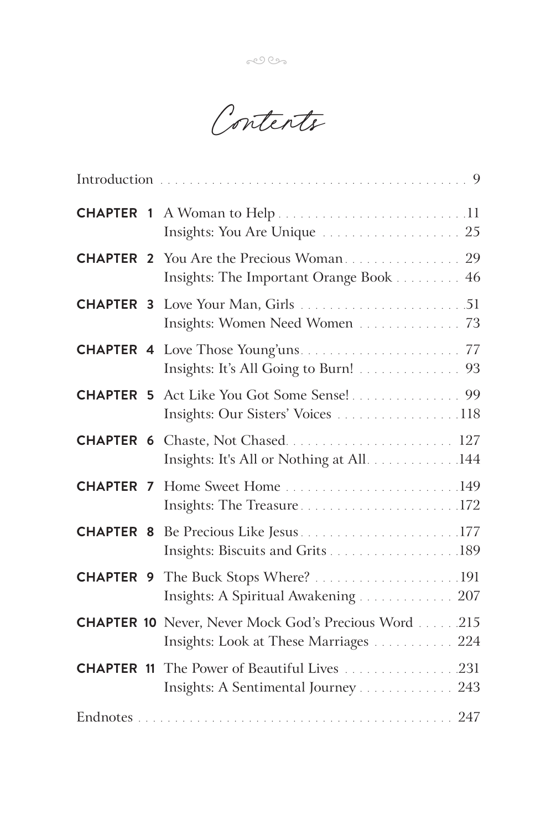Contents

|                  | Insights: You Are Unique  25                                                                          |
|------------------|-------------------------------------------------------------------------------------------------------|
|                  | Insights: The Important Orange Book 46                                                                |
|                  | Insights: Women Need Women  73                                                                        |
|                  | Insights: It's All Going to Burn! 93                                                                  |
|                  | <b>CHAPTER 5</b> Act Like You Got Some Sense! 99<br>Insights: Our Sisters' Voices 118                 |
|                  | <b>CHAPTER 6</b> Chaste, Not Chased 127<br>Insights: It's All or Nothing at All. 144                  |
| <b>CHAPTER 7</b> | Insights: The Treasure172                                                                             |
| <b>CHAPTER 8</b> | Insights: Biscuits and Grits 189                                                                      |
|                  | Insights: A Spiritual Awakening 207                                                                   |
|                  | <b>CHAPTER 10</b> Never, Never Mock God's Precious Word 215<br>Insights: Look at These Marriages  224 |
|                  | <b>CHAPTER 11</b> The Power of Beautiful Lives 231<br>Insights: A Sentimental Journey 243             |
|                  |                                                                                                       |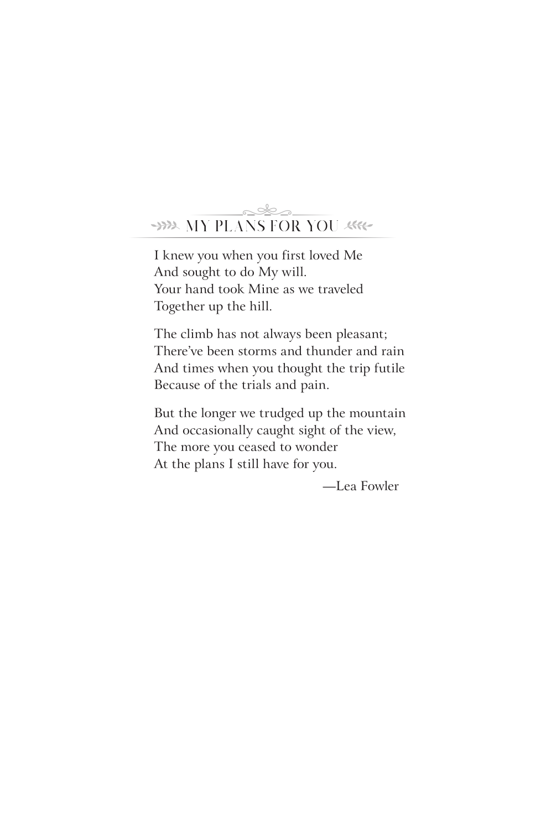# WE MY PLANS FOR YOU ARE <u>akt</u>

I knew you when you first loved Me And sought to do My will. Your hand took Mine as we traveled Together up the hill.

The climb has not always been pleasant; There've been storms and thunder and rain And times when you thought the trip futile Because of the trials and pain.

But the longer we trudged up the mountain And occasionally caught sight of the view, The more you ceased to wonder At the plans I still have for you.

—Lea Fowler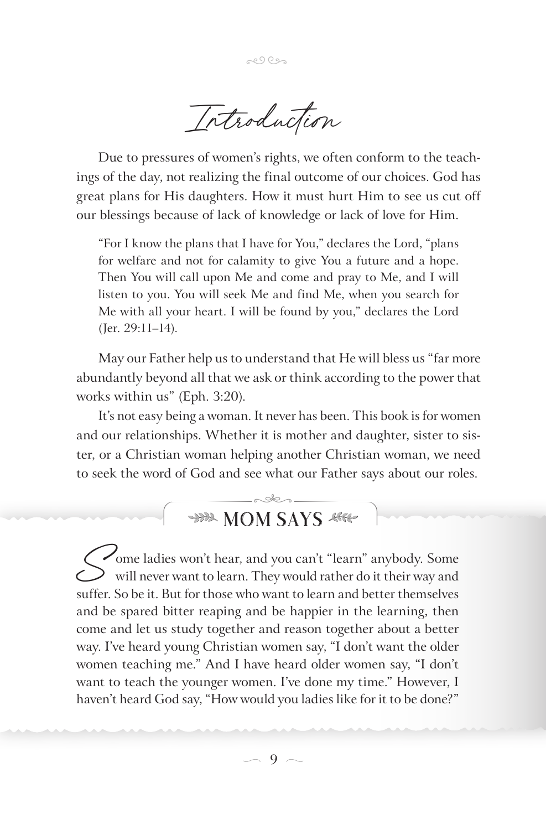Introduction

Due to pressures of women's rights, we often conform to the teachings of the day, not realizing the final outcome of our choices. God has great plans for His daughters. How it must hurt Him to see us cut off our blessings because of lack of knowledge or lack of love for Him.

"For I know the plans that I have for You," declares the Lord, "plans" for welfare and not for calamity to give You a future and a hope. Then You will call upon Me and come and pray to Me, and I will listen to you. You will seek Me and find Me, when you search for Me with all your heart. I will be found by you," declares the Lord (Jer. 29:11-14).

May our Father help us to understand that He will bless us "far more abundantly beyond all that we ask or think according to the power that works within us" (Eph. 3:20).

It's not easy being a woman. It never has been. This book is for women and our relationships. Whether it is mother and daughter, sister to sister, or a Christian woman helping another Christian woman, we need to seek the word of God and see what our Father says about our roles.

# **HAR MOM SAYS ARRE**

Ome ladies won't hear, and you can't "learn" anybody. Some  $\mathcal P$  will never want to learn. They would rather do it their way and suffer. So be it. But for those who want to learn and better themselves and be spared bitter reaping and be happier in the learning, then come and let us study together and reason together about a better way. I've heard young Christian women say, "I don't want the older women teaching me." And I have heard older women say, "I don't want to teach the younger women. I've done my time." However, I haven't heard God say, "How would you ladies like for it to be done?"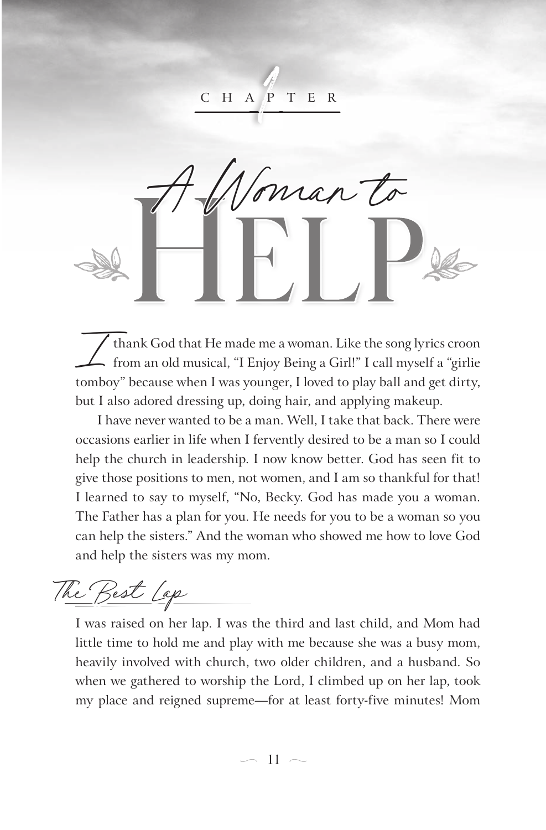1 C H A P T E

HELP A Woman to 2 HELP

thank God that He made me a woman. Like the song lyrics croon from an old musical, "I Enjoy Being a Girl!" I call myself a "girlie tomboy" because when I was younger, I loved to play ball and get dirty, but I also adored dressing up, doing hair, and applying makeup.

I have never wanted to be a man. Well, I take that back. There were occasions earlier in life when I fervently desired to be a man so I could help the church in leadership. I now know better. God has seen fit to give those positions to men, not women, and I am so thankful for that! I learned to say to myself, "No, Becky. God has made you a woman. The Father has a plan for you. He needs for you to be a woman so you can help the sisters." And the woman who showed me how to love God and help the sisters was my mom.

The Best Lap

I was raised on her lap. I was the third and last child, and Mom had little time to hold me and play with me because she was a busy mom, heavily involved with church, two older children, and a husband. So when we gathered to worship the Lord, I climbed up on her lap, took my place and reigned supreme—for at least forty-five minutes! Mom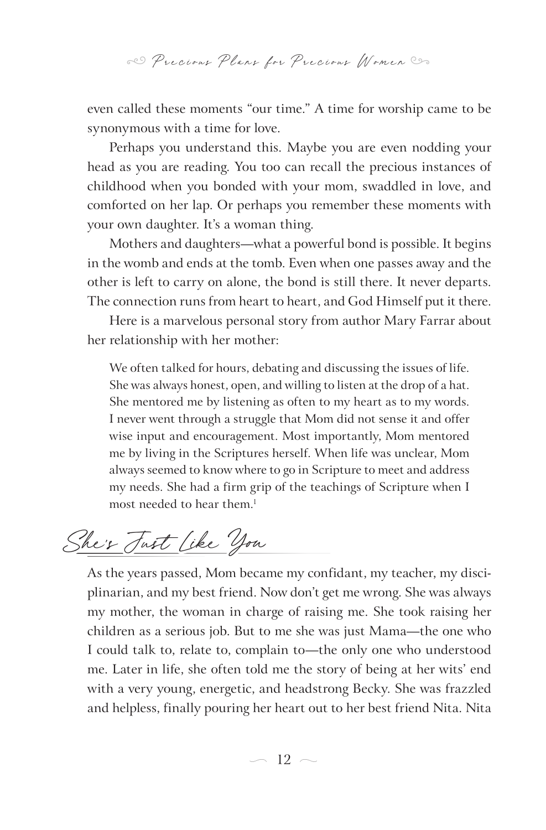even called these moments "our time." A time for worship came to be synonymous with a time for love.

Perhaps you understand this. Maybe you are even nodding your head as you are reading. You too can recall the precious instances of childhood when you bonded with your mom, swaddled in love, and comforted on her lap. Or perhaps you remember these moments with your own daughter. It's a woman thing.

Mothers and daughters—what a powerful bond is possible. It begins in the womb and ends at the tomb. Even when one passes away and the other is left to carry on alone, the bond is still there. It never departs. The connection runs from heart to heart, and God Himself put it there.

Here is a marvelous personal story from author Mary Farrar about her relationship with her mother:

We often talked for hours, debating and discussing the issues of life. She was always honest, open, and willing to listen at the drop of a hat. She mentored me by listening as often to my heart as to my words. I never went through a struggle that Mom did not sense it and offer wise input and encouragement. Most importantly, Mom mentored me by living in the Scriptures herself. When life was unclear, Mom always seemed to know where to go in Scripture to meet and address my needs. She had a firm grip of the teachings of Scripture when I most needed to hear them.<sup>1</sup>

She's Fast like you

As the years passed, Mom became my confidant, my teacher, my disciplinarian, and my best friend. Now don't get me wrong. She was always my mother, the woman in charge of raising me. She took raising her children as a serious job. But to me she was just Mama—the one who I could talk to, relate to, complain to—the only one who understood me. Later in life, she often told me the story of being at her wits' end with a very young, energetic, and headstrong Becky. She was frazzled and helpless, finally pouring her heart out to her best friend Nita. Nita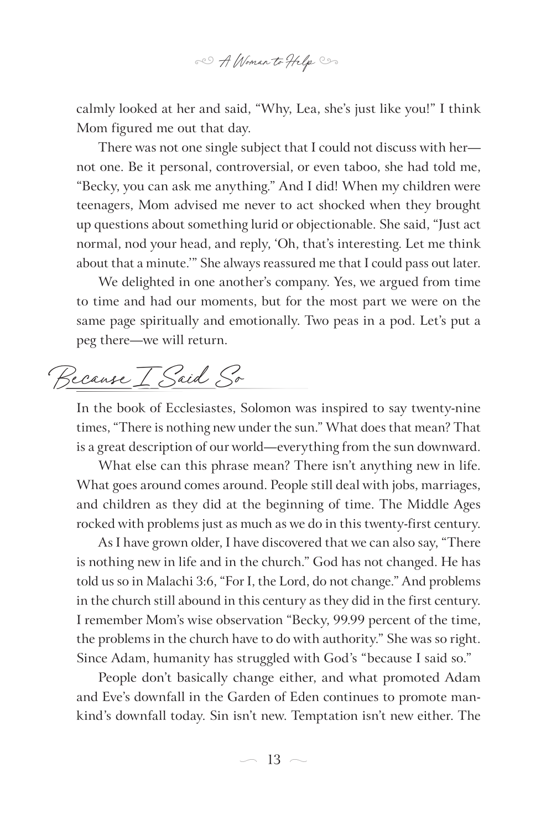

calmly looked at her and said, "Why, Lea, she's just like you!" I think Mom figured me out that day.

There was not one single subject that I could not discuss with her not one. Be it personal, controversial, or even taboo, she had told me, "Becky, you can ask me anything." And I did! When my children were teenagers, Mom advised me never to act shocked when they brought up questions about something lurid or objectionable. She said, "Just act normal, nod your head, and reply, 'Oh, that's interesting. Let me think about that a minute.'" She always reassured me that I could pass out later.

We delighted in one another's company. Yes, we argued from time to time and had our moments, but for the most part we were on the same page spiritually and emotionally. Two peas in a pod. Let's put a peg there—we will return.

Because I Said So

In the book of Ecclesiastes, Solomon was inspired to say twenty-nine times, "There is nothing new under the sun." What does that mean? That is a great description of our world—everything from the sun downward.

What else can this phrase mean? There isn't anything new in life. What goes around comes around. People still deal with jobs, marriages, and children as they did at the beginning of time. The Middle Ages rocked with problems just as much as we do in this twenty-first century.

As I have grown older, I have discovered that we can also say, "There is nothing new in life and in the church." God has not changed. He has told us so in Malachi 3:6, "For I, the Lord, do not change." And problems in the church still abound in this century as they did in the first century. I remember Mom's wise observation "Becky, 99.99 percent of the time, the problems in the church have to do with authority." She was so right. Since Adam, humanity has struggled with God's "because I said so."

People don't basically change either, and what promoted Adam and Eve's downfall in the Garden of Eden continues to promote mankind's downfall today. Sin isn't new. Temptation isn't new either. The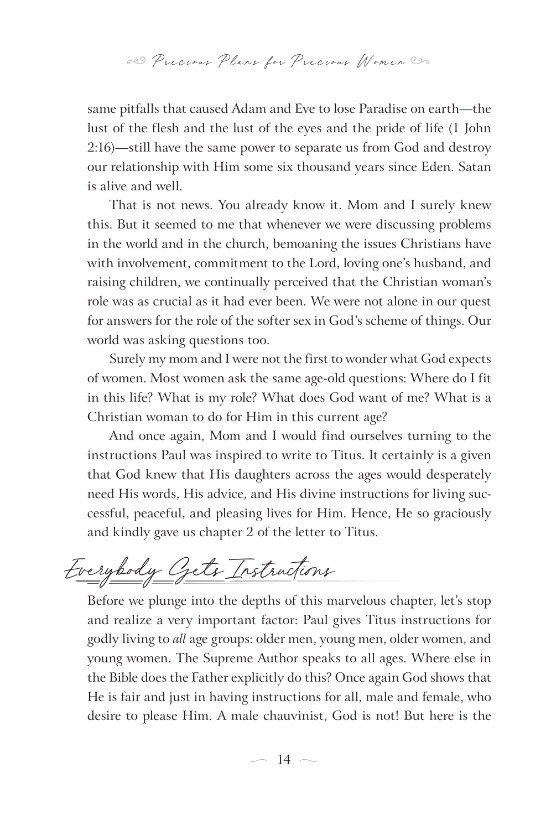same pitfalls that caused Adam and Eve to lose Paradise on earth—the lust of the flesh and the lust of the eyes and the pride of life (1 John 2:16)—still have the same power to separate us from God and destroy our relationship with Him some six thousand years since Eden. Satan is alive and well.

That is not news. You already know it. Mom and I surely knew this. But it seemed to me that whenever we were discussing problems in the world and in the church, bemoaning the issues Christians have with involvement, commitment to the Lord, loving one's husband, and raising children, we continually perceived that the Christian woman's role was as crucial as it had ever been. We were not alone in our quest for answers for the role of the softer sex in God's scheme of things. Our world was asking questions too.

Surely my mom and I were not the first to wonder what God expects of women. Most women ask the same age-old questions: Where do I fit in this life? What is my role? What does God want of me? What is a Christian woman to do for Him in this current age?

And once again, Mom and I would find ourselves turning to the instructions Paul was inspired to write to Titus. It certainly is a given that God knew that His daughters across the ages would desperately need His words, His advice, and His divine instructions for living successful, peaceful, and pleasing lives for Him. Hence, He so graciously and kindly gave us chapter 2 of the letter to Titus.

Everybody Gets Instructions

Before we plunge into the depths of this marvelous chapter, let's stop and realize a very important factor: Paul gives Titus instructions for godly living to *all* age groups: older men, young men, older women, and young women. The Supreme Author speaks to all ages. Where else in the Bible does the Father explicitly do this? Once again God shows that He is fair and just in having instructions for all, male and female, who desire to please Him. A male chauvinist, God is not! But here is the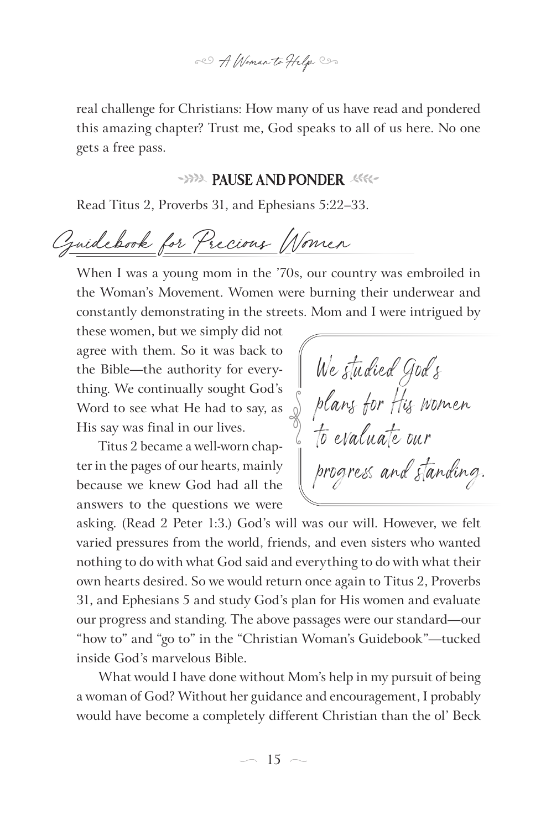80 A Woman to Help Co

real challenge for Christians: How many of us have read and pondered this amazing chapter? Trust me, God speaks to all of us here. No one gets a free pass.

#### **PAUSE AND PONDER**

Read Titus 2, Proverbs 31, and Ephesians 5:22–33.

Guidebook for Precious Women

When I was a young mom in the '70s, our country was embroiled in the Woman's Movement. Women were burning their underwear and constantly demonstrating in the streets. Mom and I were intrigued by

these women, but we simply did not agree with them. So it was back to the Bible—the authority for everything. We continually sought God's Word to see what He had to say, as His say was final in our lives.

Titus 2 became a well-worn chapter in the pages of our hearts, mainly because we knew God had all the answers to the questions we were

We studied God's plans for His women to evaluate our progress and standing. e<br>Separa

asking. (Read 2 Peter 1:3.) God's will was our will. However, we felt varied pressures from the world, friends, and even sisters who wanted nothing to do with what God said and everything to do with what their own hearts desired. So we would return once again to Titus 2, Proverbs 31, and Ephesians 5 and study God's plan for His women and evaluate our progress and standing. The above passages were our standard—our "how to" and "go to" in the "Christian Woman's Guidebook"—tucked inside God's marvelous Bible.

What would I have done without Mom's help in my pursuit of being a woman of God? Without her guidance and encouragement, I probably would have become a completely different Christian than the ol' Beck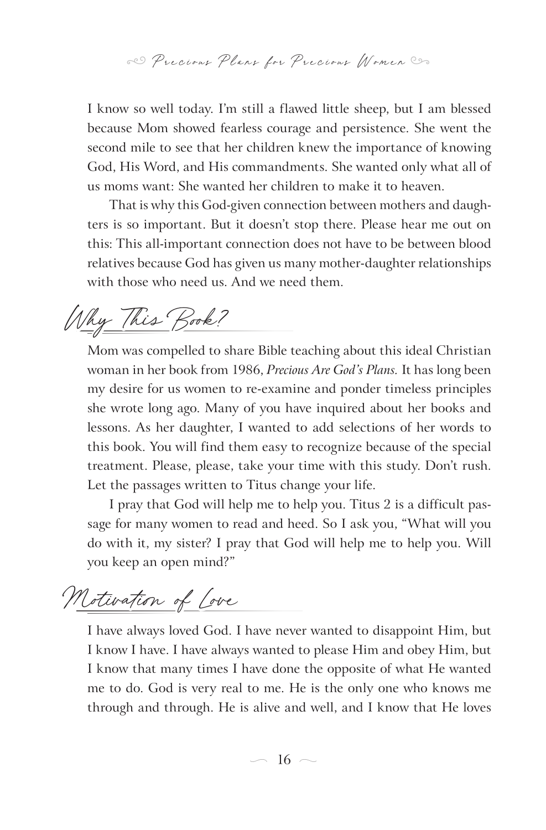I know so well today. I'm still a flawed little sheep, but I am blessed because Mom showed fearless courage and persistence. She went the second mile to see that her children knew the importance of knowing God, His Word, and His commandments. She wanted only what all of us moms want: She wanted her children to make it to heaven.

That is why this God-given connection between mothers and daughters is so important. But it doesn't stop there. Please hear me out on this: This all-important connection does not have to be between blood relatives because God has given us many mother-daughter relationships with those who need us. And we need them.

Why This Book?

Mom was compelled to share Bible teaching about this ideal Christian woman in her book from 1986, *Precious Are God's Plans.* It has long been my desire for us women to re-examine and ponder timeless principles she wrote long ago. Many of you have inquired about her books and lessons. As her daughter, I wanted to add selections of her words to this book. You will find them easy to recognize because of the special treatment. Please, please, take your time with this study. Don't rush. Let the passages written to Titus change your life.

I pray that God will help me to help you. Titus 2 is a difficult passage for many women to read and heed. So I ask you, "What will you do with it, my sister? I pray that God will help me to help you. Will you keep an open mind?"

Motivation of Love

I have always loved God. I have never wanted to disappoint Him, but I know I have. I have always wanted to please Him and obey Him, but I know that many times I have done the opposite of what He wanted me to do. God is very real to me. He is the only one who knows me through and through. He is alive and well, and I know that He loves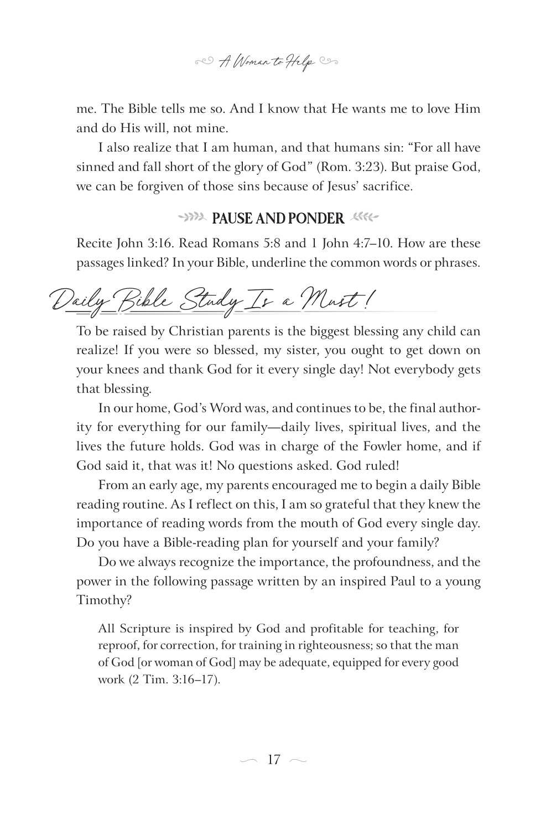80 A Woman to Help Con

me. The Bible tells me so. And I know that He wants me to love Him and do His will, not mine.

I also realize that I am human, and that humans sin: "For all have sinned and fall short of the glory of God" (Rom. 3:23). But praise God, we can be forgiven of those sins because of Jesus' sacrifice.

# **PAUSE AND PONDER**

Recite John 3:16. Read Romans 5:8 and 1 John 4:7–10. How are these passages linked? In your Bible, underline the common words or phrases.

Daily Bible Study Is a Must!

To be raised by Christian parents is the biggest blessing any child can realize! If you were so blessed, my sister, you ought to get down on your knees and thank God for it every single day! Not everybody gets that blessing.

In our home, God's Word was, and continues to be, the final authority for everything for our family—daily lives, spiritual lives, and the lives the future holds. God was in charge of the Fowler home, and if God said it, that was it! No questions asked. God ruled!

From an early age, my parents encouraged me to begin a daily Bible reading routine. As I reflect on this, I am so grateful that they knew the importance of reading words from the mouth of God every single day. Do you have a Bible-reading plan for yourself and your family?

Do we always recognize the importance, the profoundness, and the power in the following passage written by an inspired Paul to a young Timothy?

All Scripture is inspired by God and profitable for teaching, for reproof, for correction, for training in righteousness; so that the man of God [or woman of God] may be adequate, equipped for every good work (2 Tim. 3:16–17).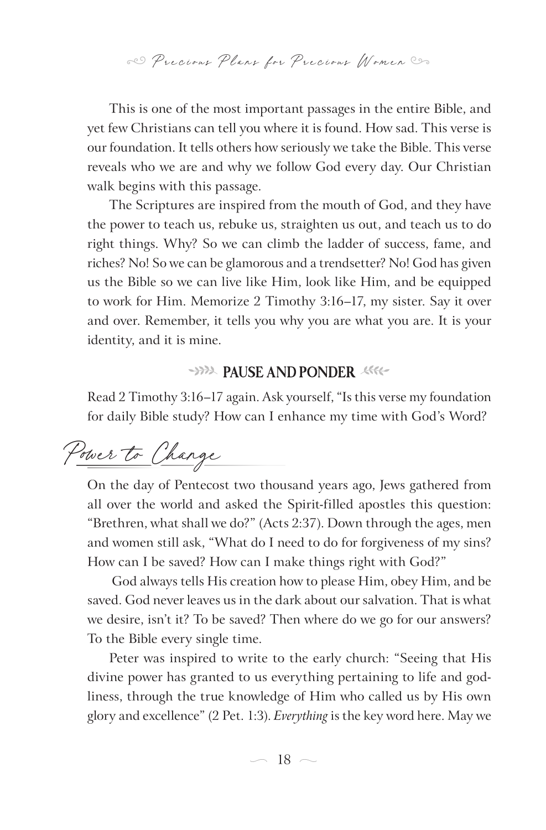This is one of the most important passages in the entire Bible, and yet few Christians can tell you where it is found. How sad. This verse is our foundation. It tells others how seriously we take the Bible. This verse reveals who we are and why we follow God every day. Our Christian walk begins with this passage.

The Scriptures are inspired from the mouth of God, and they have the power to teach us, rebuke us, straighten us out, and teach us to do right things. Why? So we can climb the ladder of success, fame, and riches? No! So we can be glamorous and a trendsetter? No! God has given us the Bible so we can live like Him, look like Him, and be equipped to work for Him. Memorize 2 Timothy 3:16–17, my sister. Say it over and over. Remember, it tells you why you are what you are. It is your identity, and it is mine.

# **YAPA PAUSE AND PONDER**

Read 2 Timothy 3:16–17 again. Ask yourself, "Is this verse my foundation for daily Bible study? How can I enhance my time with God's Word?

Power to Change

On the day of Pentecost two thousand years ago, Jews gathered from all over the world and asked the Spirit-filled apostles this question: "Brethren, what shall we do?" (Acts 2:37). Down through the ages, men and women still ask, "What do I need to do for forgiveness of my sins? How can I be saved? How can I make things right with God?"

 God always tells His creation how to please Him, obey Him, and be saved. God never leaves us in the dark about our salvation. That is what we desire, isn't it? To be saved? Then where do we go for our answers? To the Bible every single time.

Peter was inspired to write to the early church: "Seeing that His divine power has granted to us everything pertaining to life and godliness, through the true knowledge of Him who called us by His own glory and excellence" (2 Pet. 1:3). *Everything* is the key word here. May we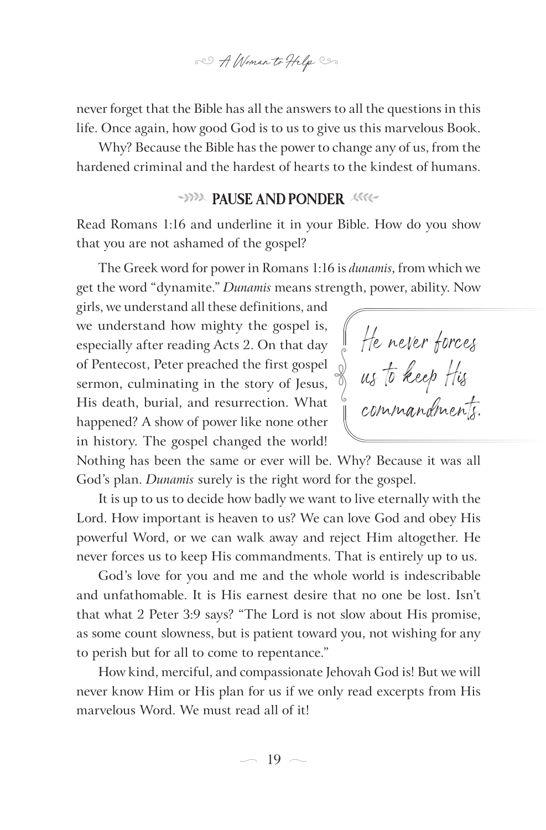80 A Woman to Help Co

never forget that the Bible has all the answers to all the questions in this life. Once again, how good God is to us to give us this marvelous Book.

Why? Because the Bible has the power to change any of us, from the hardened criminal and the hardest of hearts to the kindest of humans.

#### **PAUSE AND PONDER**

Read Romans 1:16 and underline it in your Bible. How do you show that you are not ashamed of the gospel?

The Greek word for power in Romans 1:16 is *dunamis*, from which we get the word "dynamite." *Dunamis* means strength, power, ability. Now

girls, we understand all these definitions, and we understand how mighty the gospel is, especially after reading Acts 2. On that day of Pentecost, Peter preached the first gospel sermon, culminating in the story of Jesus, His death, burial, and resurrection. What happened? A show of power like none other in history. The gospel changed the world!

He never forces us to keep His<br>commandments.

Nothing has been the same or ever will be. Why? Because it was all God's plan. *Dunamis* surely is the right word for the gospel.

It is up to us to decide how badly we want to live eternally with the Lord. How important is heaven to us? We can love God and obey His powerful Word, or we can walk away and reject Him altogether. He never forces us to keep His commandments. That is entirely up to us.

God's love for you and me and the whole world is indescribable and unfathomable. It is His earnest desire that no one be lost. Isn't that what 2 Peter 3:9 says? "The Lord is not slow about His promise, as some count slowness, but is patient toward you, not wishing for any to perish but for all to come to repentance."

How kind, merciful, and compassionate Jehovah God is! But we will never know Him or His plan for us if we only read excerpts from His marvelous Word. We must read all of it!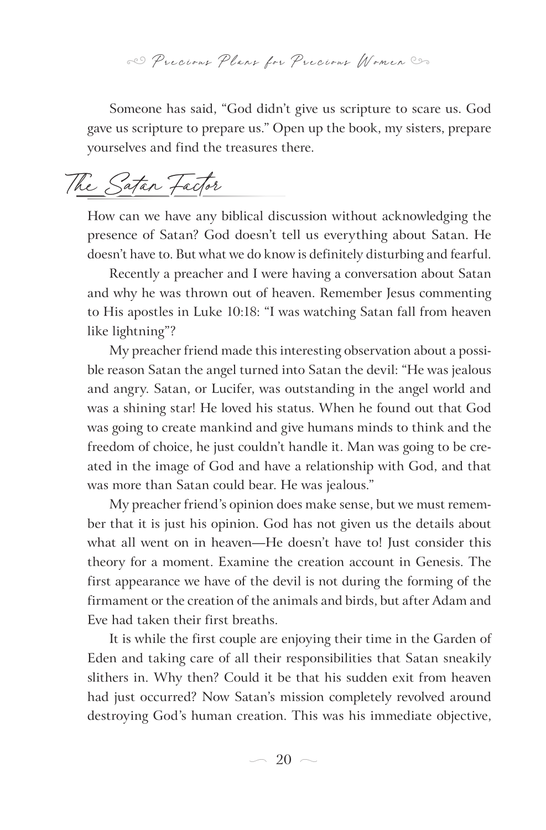Someone has said, "God didn't give us scripture to scare us. God gave us scripture to prepare us." Open up the book, my sisters, prepare yourselves and find the treasures there.

The Satan Factor

How can we have any biblical discussion without acknowledging the presence of Satan? God doesn't tell us everything about Satan. He doesn't have to. But what we do know is definitely disturbing and fearful.

Recently a preacher and I were having a conversation about Satan and why he was thrown out of heaven. Remember Jesus commenting to His apostles in Luke 10:18: "I was watching Satan fall from heaven like lightning"?

My preacher friend made this interesting observation about a possible reason Satan the angel turned into Satan the devil: "He was jealous and angry. Satan, or Lucifer, was outstanding in the angel world and was a shining star! He loved his status. When he found out that God was going to create mankind and give humans minds to think and the freedom of choice, he just couldn't handle it. Man was going to be created in the image of God and have a relationship with God, and that was more than Satan could bear. He was jealous."

My preacher friend's opinion does make sense, but we must remember that it is just his opinion. God has not given us the details about what all went on in heaven—He doesn't have to! Just consider this theory for a moment. Examine the creation account in Genesis. The first appearance we have of the devil is not during the forming of the firmament or the creation of the animals and birds, but after Adam and Eve had taken their first breaths.

It is while the first couple are enjoying their time in the Garden of Eden and taking care of all their responsibilities that Satan sneakily slithers in. Why then? Could it be that his sudden exit from heaven had just occurred? Now Satan's mission completely revolved around destroying God's human creation. This was his immediate objective,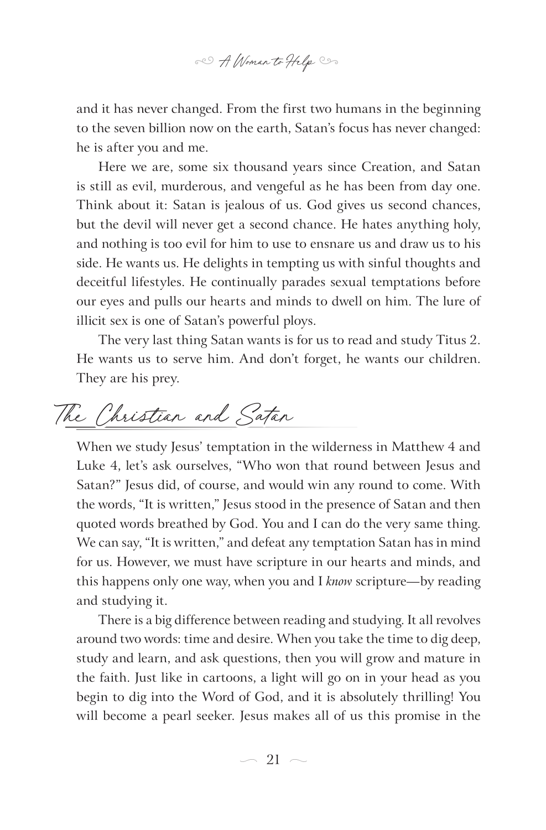

and it has never changed. From the first two humans in the beginning to the seven billion now on the earth, Satan's focus has never changed: he is after you and me.

Here we are, some six thousand years since Creation, and Satan is still as evil, murderous, and vengeful as he has been from day one. Think about it: Satan is jealous of us. God gives us second chances, but the devil will never get a second chance. He hates anything holy, and nothing is too evil for him to use to ensnare us and draw us to his side. He wants us. He delights in tempting us with sinful thoughts and deceitful lifestyles. He continually parades sexual temptations before our eyes and pulls our hearts and minds to dwell on him. The lure of illicit sex is one of Satan's powerful ploys.

The very last thing Satan wants is for us to read and study Titus 2. He wants us to serve him. And don't forget, he wants our children. They are his prey.

The Christian and Satan

When we study Jesus' temptation in the wilderness in Matthew 4 and Luke 4, let's ask ourselves, "Who won that round between Jesus and Satan?" Jesus did, of course, and would win any round to come. With the words, "It is written," Jesus stood in the presence of Satan and then quoted words breathed by God. You and I can do the very same thing. We can say, "It is written," and defeat any temptation Satan has in mind for us. However, we must have scripture in our hearts and minds, and this happens only one way, when you and I *know* scripture*—*by reading and studying it.

There is a big difference between reading and studying. It all revolves around two words: time and desire. When you take the time to dig deep, study and learn, and ask questions, then you will grow and mature in the faith. Just like in cartoons, a light will go on in your head as you begin to dig into the Word of God, and it is absolutely thrilling! You will become a pearl seeker. Jesus makes all of us this promise in the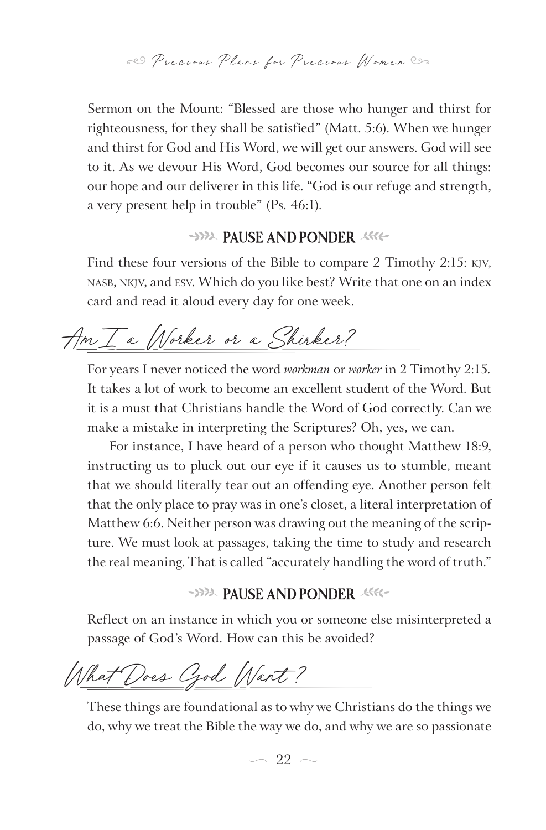Sermon on the Mount: "Blessed are those who hunger and thirst for righteousness, for they shall be satisfied" (Matt. 5:6). When we hunger and thirst for God and His Word, we will get our answers. God will see to it. As we devour His Word, God becomes our source for all things: our hope and our deliverer in this life. "God is our refuge and strength, a very present help in trouble" (Ps. 46:1).

### **PAUSE AND PONDER**

Find these four versions of the Bible to compare 2 Timothy 2:15: KJV, NASB, NKJV, and ESV. Which do you like best? Write that one on an index card and read it aloud every day for one week.

Am I a Worker or a Shirker?

For years I never noticed the word *workman* or *worker* in 2 Timothy 2:15*.* It takes a lot of work to become an excellent student of the Word. But it is a must that Christians handle the Word of God correctly. Can we make a mistake in interpreting the Scriptures? Oh, yes, we can.

For instance, I have heard of a person who thought Matthew 18:9, instructing us to pluck out our eye if it causes us to stumble, meant that we should literally tear out an offending eye. Another person felt that the only place to pray was in one's closet, a literal interpretation of Matthew 6:6. Neither person was drawing out the meaning of the scripture. We must look at passages, taking the time to study and research the real meaning. That is called "accurately handling the word of truth."

#### **PAUSE AND PONDER**

Reflect on an instance in which you or someone else misinterpreted a passage of God's Word. How can this be avoided?

What Does Czod Wart?

These things are foundational as to why we Christians do the things we do, why we treat the Bible the way we do, and why we are so passionate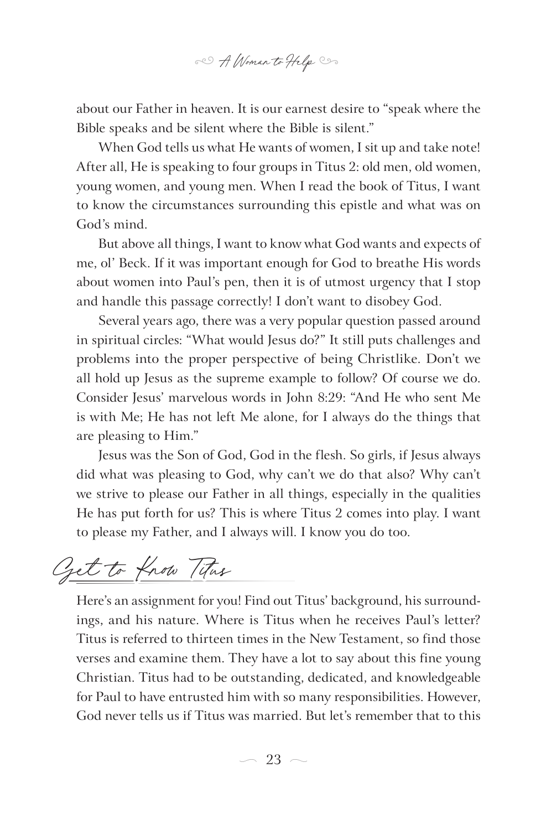

about our Father in heaven. It is our earnest desire to "speak where the Bible speaks and be silent where the Bible is silent."

When God tells us what He wants of women, I sit up and take note! After all, He is speaking to four groups in Titus 2: old men, old women, young women, and young men. When I read the book of Titus, I want to know the circumstances surrounding this epistle and what was on God's mind.

But above all things, I want to know what God wants and expects of me, ol' Beck. If it was important enough for God to breathe His words about women into Paul's pen, then it is of utmost urgency that I stop and handle this passage correctly! I don't want to disobey God.

Several years ago, there was a very popular question passed around in spiritual circles: "What would Jesus do?" It still puts challenges and problems into the proper perspective of being Christlike. Don't we all hold up Jesus as the supreme example to follow? Of course we do. Consider Jesus' marvelous words in John 8:29: "And He who sent Me is with Me; He has not left Me alone, for I always do the things that are pleasing to Him."

Jesus was the Son of God, God in the flesh. So girls, if Jesus always did what was pleasing to God, why can't we do that also? Why can't we strive to please our Father in all things, especially in the qualities He has put forth for us? This is where Titus 2 comes into play. I want to please my Father, and I always will. I know you do too.

Get to Know Titus

Here's an assignment for you! Find out Titus' background, his surroundings, and his nature. Where is Titus when he receives Paul's letter? Titus is referred to thirteen times in the New Testament, so find those verses and examine them. They have a lot to say about this fine young Christian. Titus had to be outstanding, dedicated, and knowledgeable for Paul to have entrusted him with so many responsibilities. However, God never tells us if Titus was married. But let's remember that to this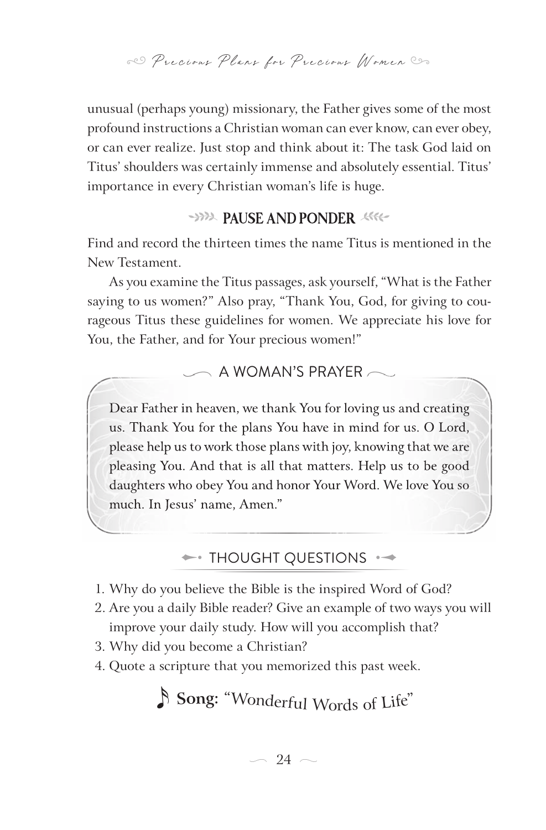unusual (perhaps young) missionary, the Father gives some of the most profound instructions a Christian woman can ever know, can ever obey, or can ever realize. Just stop and think about it: The task God laid on Titus' shoulders was certainly immense and absolutely essential. Titus' importance in every Christian woman's life is huge.

# **PAUSE AND PONDER**

Find and record the thirteen times the name Titus is mentioned in the New Testament.

As you examine the Titus passages, ask yourself, "What is the Father saying to us women?" Also pray, "Thank You, God, for giving to courageous Titus these guidelines for women. We appreciate his love for You, the Father, and for Your precious women!"

#### $\frown$  A WOMAN'S PRAYER  $\frown$

Dear Father in heaven, we thank You for loving us and creating us. Thank You for the plans You have in mind for us. O Lord, please help us to work those plans with joy, knowing that we are pleasing You. And that is all that matters. Help us to be good daughters who obey You and honor Your Word. We love You so much. In Jesus' name, Amen."

 $\leftrightarrow$  THOUGHT QUESTIONS  $\leftrightarrow$ 

- 1. Why do you believe the Bible is the inspired Word of God?
- 2. Are you a daily Bible reader? Give an example of two ways you will improve your daily study. How will you accomplish that?
- 3. Why did you become a Christian?
- 4. Quote a scripture that you memorized this past week.

x **<sup>S</sup>o<sup>n</sup>g:** "W<sup>o</sup>nd<sup>e</sup>rfu<sup>l</sup> <sup>W</sup><sup>o</sup>rd<sup>s</sup> <sup>o</sup><sup>f</sup> <sup>L</sup>ife"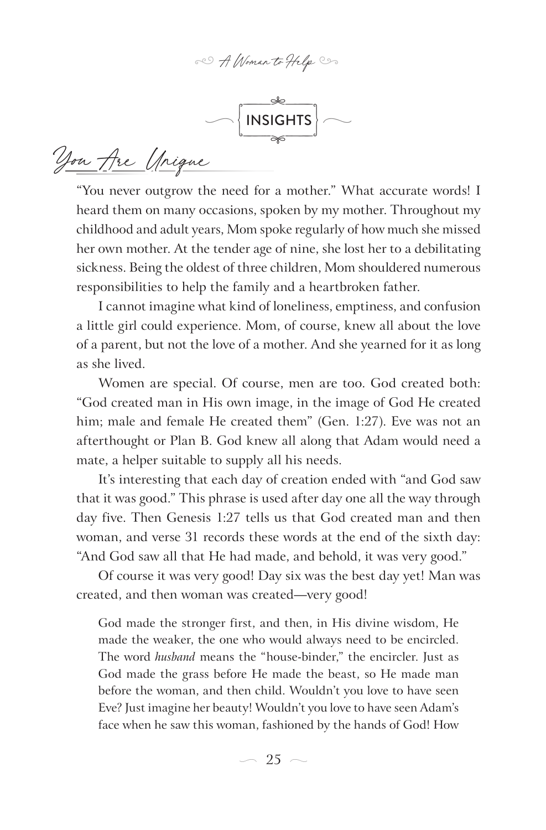80 A Woman to Help Com



You Are Unique

"You never outgrow the need for a mother." What accurate words! I heard them on many occasions, spoken by my mother. Throughout my childhood and adult years, Mom spoke regularly of how much she missed her own mother. At the tender age of nine, she lost her to a debilitating sickness. Being the oldest of three children, Mom shouldered numerous responsibilities to help the family and a heartbroken father.

I cannot imagine what kind of loneliness, emptiness, and confusion a little girl could experience. Mom, of course, knew all about the love of a parent, but not the love of a mother. And she yearned for it as long as she lived.

Women are special. Of course, men are too. God created both: "God created man in His own image, in the image of God He created him; male and female He created them" (Gen. 1:27). Eve was not an afterthought or Plan B. God knew all along that Adam would need a mate, a helper suitable to supply all his needs.

It's interesting that each day of creation ended with "and God saw that it was good." This phrase is used after day one all the way through day five. Then Genesis 1:27 tells us that God created man and then woman, and verse 31 records these words at the end of the sixth day: "And God saw all that He had made, and behold, it was very good."

Of course it was very good! Day six was the best day yet! Man was created, and then woman was created—very good!

God made the stronger first, and then, in His divine wisdom, He made the weaker, the one who would always need to be encircled. The word *husband* means the "house-binder," the encircler. Just as God made the grass before He made the beast, so He made man before the woman, and then child. Wouldn't you love to have seen Eve? Just imagine her beauty! Wouldn't you love to have seen Adam's face when he saw this woman, fashioned by the hands of God! How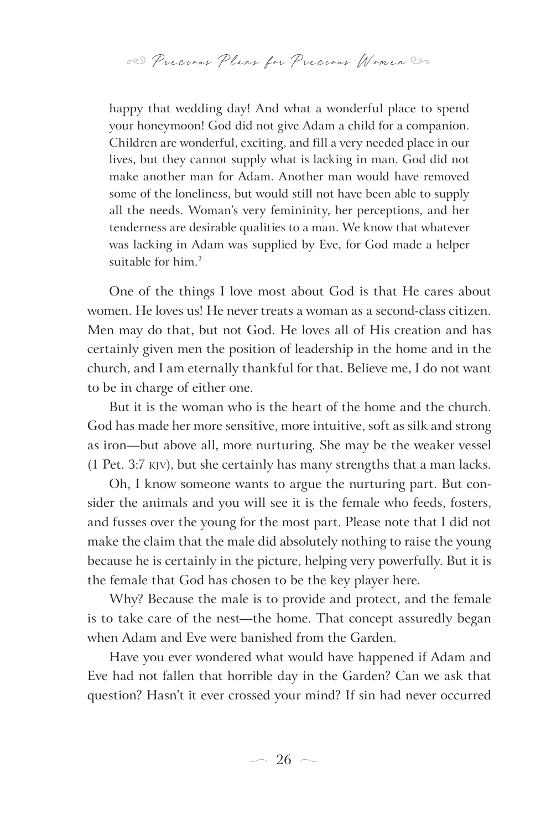happy that wedding day! And what a wonderful place to spend your honeymoon! God did not give Adam a child for a companion. Children are wonderful, exciting, and fill a very needed place in our lives, but they cannot supply what is lacking in man. God did not make another man for Adam. Another man would have removed some of the loneliness, but would still not have been able to supply all the needs. Woman's very femininity, her perceptions, and her tenderness are desirable qualities to a man. We know that whatever was lacking in Adam was supplied by Eve, for God made a helper suitable for him.2

One of the things I love most about God is that He cares about women. He loves us! He never treats a woman as a second-class citizen. Men may do that, but not God. He loves all of His creation and has certainly given men the position of leadership in the home and in the church, and I am eternally thankful for that. Believe me, I do not want to be in charge of either one.

But it is the woman who is the heart of the home and the church. God has made her more sensitive, more intuitive, soft as silk and strong as iron—but above all, more nurturing. She may be the weaker vessel (1 Pet. 3:7 KJV), but she certainly has many strengths that a man lacks.

Oh, I know someone wants to argue the nurturing part. But consider the animals and you will see it is the female who feeds, fosters, and fusses over the young for the most part. Please note that I did not make the claim that the male did absolutely nothing to raise the young because he is certainly in the picture, helping very powerfully. But it is the female that God has chosen to be the key player here.

Why? Because the male is to provide and protect, and the female is to take care of the nest—the home. That concept assuredly began when Adam and Eve were banished from the Garden.

Have you ever wondered what would have happened if Adam and Eve had not fallen that horrible day in the Garden? Can we ask that question? Hasn't it ever crossed your mind? If sin had never occurred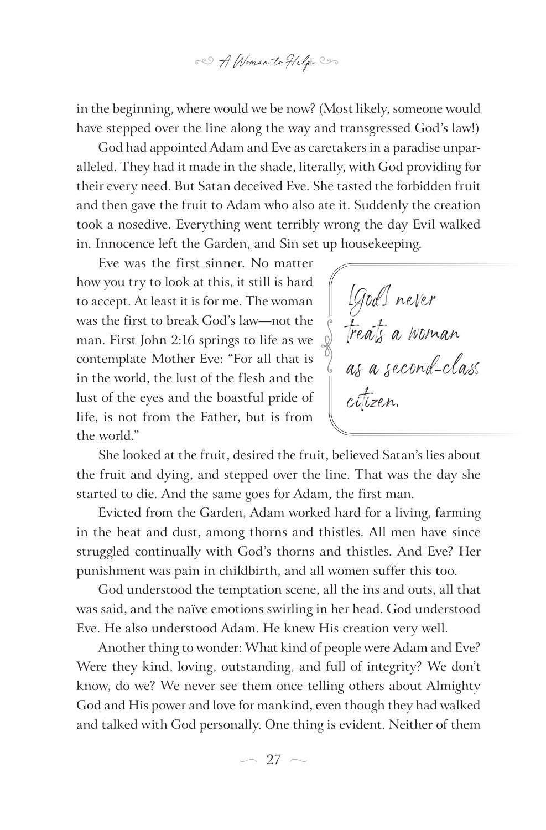

in the beginning, where would we be now? (Most likely, someone would have stepped over the line along the way and transgressed God's law!)

God had appointed Adam and Eve as caretakers in a paradise unparalleled. They had it made in the shade, literally, with God providing for their every need. But Satan deceived Eve. She tasted the forbidden fruit and then gave the fruit to Adam who also ate it. Suddenly the creation took a nosedive. Everything went terribly wrong the day Evil walked in. Innocence left the Garden, and Sin set up housekeeping.

Eve was the first sinner. No matter how you try to look at this, it still is hard to accept. At least it is for me. The woman was the first to break God's law—not the man. First John 2:16 springs to life as we contemplate Mother Eve: "For all that is in the world, the lust of the flesh and the lust of the eyes and the boastful pride of life, is not from the Father, but is from the world."

[God] never treats a woman as a second-cla citizen. e<br>Sep

She looked at the fruit, desired the fruit, believed Satan's lies about the fruit and dying, and stepped over the line. That was the day she started to die. And the same goes for Adam, the first man.

Evicted from the Garden, Adam worked hard for a living, farming in the heat and dust, among thorns and thistles. All men have since struggled continually with God's thorns and thistles. And Eve? Her punishment was pain in childbirth, and all women suffer this too.

God understood the temptation scene, all the ins and outs, all that was said, and the naïve emotions swirling in her head. God understood Eve. He also understood Adam. He knew His creation very well.

Another thing to wonder: What kind of people were Adam and Eve? Were they kind, loving, outstanding, and full of integrity? We don't know, do we? We never see them once telling others about Almighty God and His power and love for mankind, even though they had walked and talked with God personally. One thing is evident. Neither of them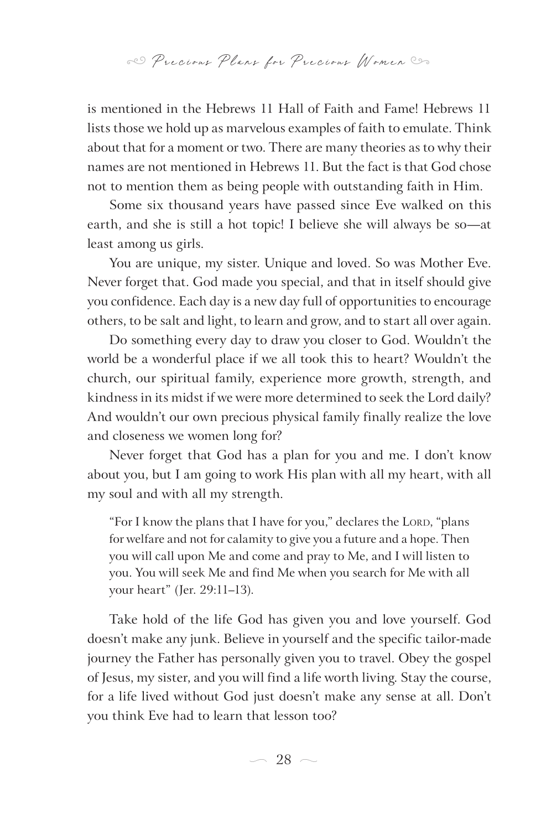is mentioned in the Hebrews 11 Hall of Faith and Fame! Hebrews 11 lists those we hold up as marvelous examples of faith to emulate. Think about that for a moment or two. There are many theories as to why their names are not mentioned in Hebrews 11. But the fact is that God chose not to mention them as being people with outstanding faith in Him.

Some six thousand years have passed since Eve walked on this earth, and she is still a hot topic! I believe she will always be so—at least among us girls.

You are unique, my sister. Unique and loved. So was Mother Eve. Never forget that. God made you special, and that in itself should give you confidence. Each day is a new day full of opportunities to encourage others, to be salt and light, to learn and grow, and to start all over again.

Do something every day to draw you closer to God. Wouldn't the world be a wonderful place if we all took this to heart? Wouldn't the church, our spiritual family, experience more growth, strength, and kindness in its midst if we were more determined to seek the Lord daily? And wouldn't our own precious physical family finally realize the love and closeness we women long for?

Never forget that God has a plan for you and me. I don't know about you, but I am going to work His plan with all my heart, with all my soul and with all my strength.

"For I know the plans that I have for you," declares the LORD, "plans for welfare and not for calamity to give you a future and a hope. Then you will call upon Me and come and pray to Me, and I will listen to you. You will seek Me and find Me when you search for Me with all your heart" (Jer. 29:11–13).

Take hold of the life God has given you and love yourself. God doesn't make any junk. Believe in yourself and the specific tailor-made journey the Father has personally given you to travel. Obey the gospel of Jesus, my sister, and you will find a life worth living. Stay the course, for a life lived without God just doesn't make any sense at all. Don't you think Eve had to learn that lesson too?